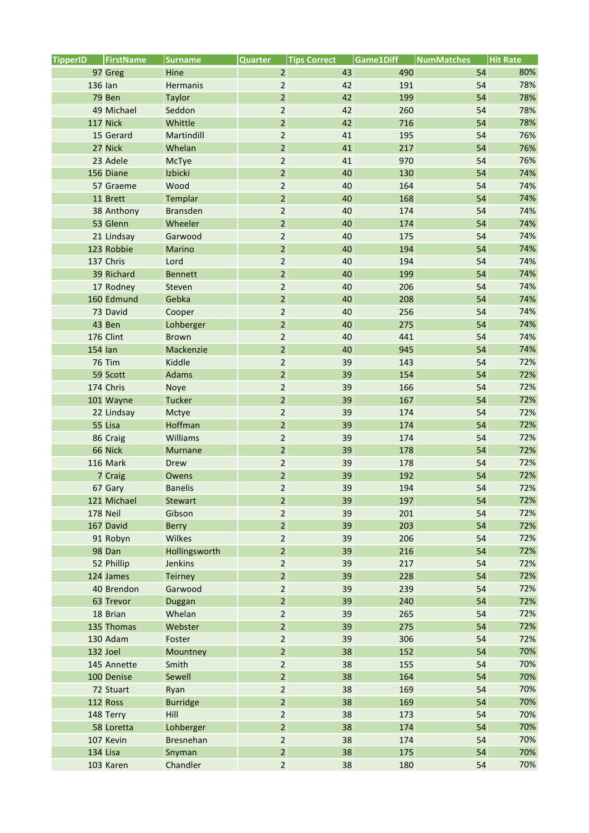| <b>TipperID</b> | <b>FirstName</b> | <b>Surname</b>   | <b>Quarter</b> | <b>Tips Correct</b> | Game1Diff | <b>NumMatches</b> | <b>Hit Rate</b> |
|-----------------|------------------|------------------|----------------|---------------------|-----------|-------------------|-----------------|
|                 | 97 Greg          | Hine             | $\overline{2}$ | 43                  | 490       | 54                | 80%             |
| 136 Ian         |                  | Hermanis         | $\overline{2}$ | 42                  | 191       | 54                | 78%             |
|                 | 79 Ben           | <b>Taylor</b>    | $\overline{2}$ | 42                  | 199       | 54                | 78%             |
|                 | 49 Michael       | Seddon           | $\overline{2}$ | 42                  | 260       | 54                | 78%             |
|                 | 117 Nick         | Whittle          | $\overline{2}$ | 42                  | 716       | 54                | 78%             |
|                 | 15 Gerard        | Martindill       | $\overline{2}$ | 41                  | 195       | 54                | 76%             |
|                 | 27 Nick          | Whelan           | $\overline{2}$ | 41                  | 217       | 54                | 76%             |
|                 | 23 Adele         | McTye            | $\overline{2}$ | 41                  | 970       | 54                | 76%             |
|                 | 156 Diane        | Izbicki          | $\overline{2}$ | 40                  | 130       | 54                | 74%             |
|                 | 57 Graeme        | Wood             | $\overline{2}$ | 40                  | 164       | 54                | 74%             |
|                 | 11 Brett         | Templar          | $\overline{2}$ | 40                  | 168       | 54                | 74%             |
|                 | 38 Anthony       | <b>Bransden</b>  | $\overline{2}$ | 40                  | 174       | 54                | 74%             |
|                 | 53 Glenn         | Wheeler          | $\overline{2}$ | 40                  | 174       | 54                | 74%             |
|                 | 21 Lindsay       | Garwood          | $\overline{2}$ | 40                  | 175       | 54                | 74%             |
|                 | 123 Robbie       | <b>Marino</b>    | $\overline{2}$ | 40                  | 194       | 54                | 74%             |
|                 | 137 Chris        | Lord             | $\overline{2}$ | 40                  | 194       | 54                | 74%             |
|                 | 39 Richard       | <b>Bennett</b>   | $\overline{2}$ | 40                  | 199       | 54                | 74%             |
|                 | 17 Rodney        | Steven           | $\overline{2}$ | 40                  | 206       | 54                | 74%             |
|                 | 160 Edmund       | Gebka            | $\overline{2}$ | 40                  | 208       | 54                | 74%             |
|                 | 73 David         | Cooper           | $\overline{2}$ | 40                  | 256       | 54                | 74%             |
|                 | 43 Ben           | Lohberger        | $\overline{2}$ | 40                  | 275       | 54                | 74%             |
|                 | 176 Clint        | <b>Brown</b>     | $\overline{2}$ | 40                  | 441       | 54                | 74%             |
| 154 lan         |                  | Mackenzie        | $\overline{2}$ | 40                  | 945       | 54                | 74%             |
|                 | <b>76 Tim</b>    | Kiddle           | $\overline{2}$ | 39                  | 143       | 54                | 72%             |
|                 | 59 Scott         | Adams            | $\overline{2}$ | 39                  | 154       | 54                | 72%             |
|                 | 174 Chris        | Noye             | $\overline{2}$ | 39                  | 166       | 54                | 72%             |
|                 | 101 Wayne        | <b>Tucker</b>    | $\overline{2}$ | 39                  | 167       | 54                | 72%             |
|                 | 22 Lindsay       | Mctye            | $\mathbf 2$    | 39                  | 174       | 54                | 72%             |
|                 | 55 Lisa          | Hoffman          | $\overline{2}$ | 39                  | 174       | 54                | 72%             |
|                 | 86 Craig         | Williams         | $\overline{a}$ | 39                  | 174       | 54                | 72%             |
|                 | 66 Nick          | <b>Murnane</b>   | $\overline{2}$ | 39                  | 178       | 54                | 72%             |
|                 | 116 Mark         | <b>Drew</b>      | $\mathbf 2$    | 39                  | 178       | 54                | 72%             |
|                 | 7 Craig          | Owens            | $\overline{2}$ | 39                  | 192       | 54                | 72%             |
|                 | 67 Gary          | <b>Banelis</b>   | $\overline{2}$ | 39                  | 194       | 54                | 72%             |
|                 | 121 Michael      | <b>Stewart</b>   | 2              | 39                  | 197       | 54                | 72%             |
|                 | 178 Neil         | Gibson           | $\overline{2}$ | 39                  | 201       | 54                | 72%             |
|                 | 167 David        | <b>Berry</b>     | $\overline{2}$ | 39                  | 203       | 54                | 72%             |
|                 | 91 Robyn         | Wilkes           | $\overline{a}$ | 39                  | 206       | 54                | 72%             |
|                 | 98 Dan           | Hollingsworth    | $\overline{2}$ | 39                  | 216       | 54                | 72%             |
|                 | 52 Phillip       | Jenkins          | $\overline{2}$ | 39                  | 217       | 54                | 72%             |
|                 | 124 James        | <b>Teirney</b>   | $\overline{2}$ | 39                  | 228       | 54                | 72%             |
|                 | 40 Brendon       | Garwood          | $\overline{2}$ | 39                  | 239       | 54                | 72%             |
|                 | 63 Trevor        | Duggan           | $\overline{2}$ | 39                  | 240       | 54                | 72%             |
|                 | 18 Brian         | Whelan           | $\overline{2}$ | 39                  | 265       | 54                | 72%             |
|                 | 135 Thomas       | Webster          | $\overline{2}$ | 39                  | 275       | 54                | 72%             |
|                 | 130 Adam         | Foster           | $\overline{a}$ | 39                  | 306       | 54                | 72%             |
|                 | 132 Joel         | Mountney         | $\overline{2}$ | 38                  | 152       | 54                | 70%             |
|                 | 145 Annette      | Smith            | $\mathbf 2$    | 38                  | 155       | 54                | 70%             |
|                 | 100 Denise       | Sewell           | $\overline{2}$ | 38                  | 164       | 54                | 70%             |
|                 | 72 Stuart        | Ryan             | $\mathbf 2$    | 38                  | 169       | 54                | 70%             |
|                 | 112 Ross         | <b>Burridge</b>  | $\overline{2}$ | 38                  | 169       | 54                | 70%             |
|                 | 148 Terry        | Hill             | $\overline{2}$ | 38                  | 173       | 54                | 70%             |
|                 | 58 Loretta       | Lohberger        | $\overline{2}$ | 38                  | 174       | 54                | 70%             |
|                 | 107 Kevin        | <b>Bresnehan</b> | $\overline{2}$ | 38                  | 174       | 54                | 70%             |
| 134 Lisa        |                  | Snyman           | $\overline{2}$ | 38                  | 175       | 54                | 70%             |
|                 | 103 Karen        | Chandler         | $\overline{2}$ | 38                  | 180       | 54                | 70%             |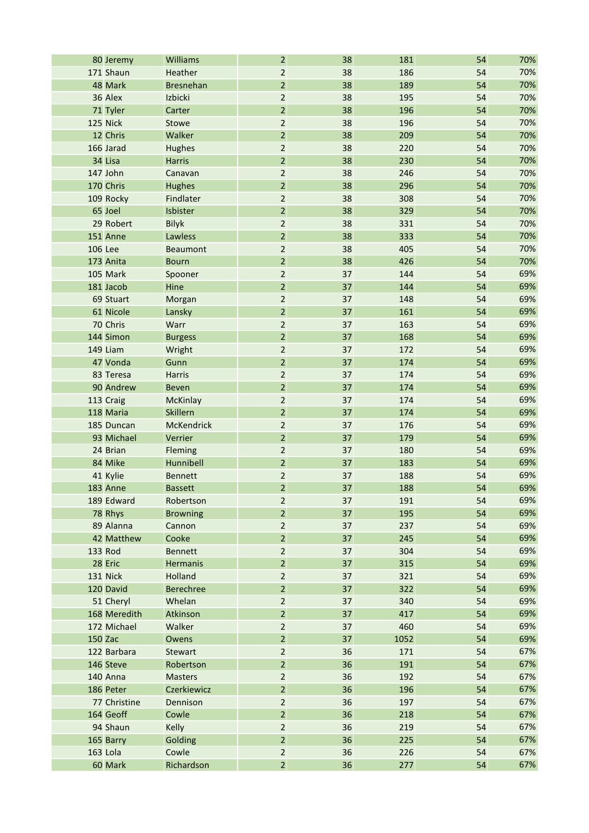|                | 80 Jeremy    | Williams          | $\overline{2}$ | 38 | 181  | 54 | 70% |
|----------------|--------------|-------------------|----------------|----|------|----|-----|
|                | 171 Shaun    | Heather           | $\overline{2}$ | 38 | 186  | 54 | 70% |
|                | 48 Mark      | <b>Bresnehan</b>  | $\overline{2}$ | 38 | 189  | 54 | 70% |
|                | 36 Alex      | Izbicki           | $\overline{2}$ | 38 | 195  | 54 | 70% |
|                | 71 Tyler     | Carter            | $\overline{2}$ | 38 | 196  | 54 | 70% |
|                | 125 Nick     | Stowe             | $\overline{2}$ | 38 | 196  | 54 | 70% |
|                | 12 Chris     | Walker            | $\overline{a}$ | 38 | 209  | 54 | 70% |
|                | 166 Jarad    | <b>Hughes</b>     | $\overline{2}$ | 38 | 220  | 54 | 70% |
|                | 34 Lisa      | <b>Harris</b>     | $\overline{2}$ | 38 | 230  | 54 | 70% |
|                | 147 John     | Canavan           | $\overline{2}$ | 38 | 246  | 54 | 70% |
|                | 170 Chris    | <b>Hughes</b>     | $\overline{2}$ | 38 | 296  | 54 | 70% |
|                | 109 Rocky    | Findlater         | $\mathbf 2$    | 38 | 308  | 54 | 70% |
|                | 65 Joel      | Isbister          | $\overline{2}$ | 38 | 329  | 54 | 70% |
|                | 29 Robert    | <b>Bilyk</b>      | $\overline{2}$ | 38 | 331  | 54 | 70% |
|                | 151 Anne     | Lawless           | $\overline{2}$ | 38 | 333  | 54 | 70% |
| <b>106 Lee</b> |              | <b>Beaumont</b>   | $\mathbf 2$    | 38 | 405  | 54 | 70% |
|                | 173 Anita    | <b>Bourn</b>      | $\overline{2}$ | 38 | 426  | 54 | 70% |
|                | 105 Mark     | Spooner           | $\overline{2}$ | 37 | 144  | 54 | 69% |
|                | 181 Jacob    | Hine              | $\overline{2}$ | 37 | 144  | 54 | 69% |
|                | 69 Stuart    | Morgan            | $\mathbf 2$    | 37 | 148  | 54 | 69% |
|                | 61 Nicole    | Lansky            | $\overline{2}$ | 37 | 161  | 54 | 69% |
|                | 70 Chris     | Warr              | $\overline{2}$ | 37 | 163  | 54 | 69% |
|                | 144 Simon    | <b>Burgess</b>    | $\overline{a}$ | 37 | 168  | 54 | 69% |
|                | 149 Liam     | Wright            | $\mathbf 2$    | 37 | 172  | 54 | 69% |
|                | 47 Vonda     | Gunn              | $\overline{2}$ | 37 | 174  | 54 | 69% |
|                | 83 Teresa    | <b>Harris</b>     | $\overline{2}$ | 37 | 174  | 54 | 69% |
|                | 90 Andrew    | <b>Beven</b>      | $\overline{c}$ | 37 | 174  | 54 | 69% |
|                | 113 Craig    | <b>McKinlay</b>   | $\mathbf 2$    | 37 | 174  | 54 | 69% |
|                | 118 Maria    | <b>Skillern</b>   | $\overline{2}$ | 37 | 174  | 54 | 69% |
|                | 185 Duncan   | <b>McKendrick</b> | $\overline{2}$ | 37 | 176  | 54 | 69% |
|                | 93 Michael   | Verrier           | $\overline{2}$ | 37 | 179  | 54 | 69% |
|                | 24 Brian     | Fleming           | $\mathbf 2$    | 37 | 180  | 54 | 69% |
|                | 84 Mike      | Hunnibell         | $\overline{2}$ | 37 | 183  | 54 | 69% |
|                | 41 Kylie     | <b>Bennett</b>    | $\overline{2}$ | 37 | 188  | 54 | 69% |
|                | 183 Anne     | <b>Bassett</b>    | $\overline{2}$ | 37 | 188  | 54 | 69% |
|                | 189 Edward   | Robertson         | $\overline{c}$ | 37 | 191  | 54 | 69% |
|                | 78 Rhys      | <b>Browning</b>   | $\mathbf 2$    | 37 | 195  | 54 | 69% |
|                | 89 Alanna    | Cannon            | $\overline{2}$ | 37 | 237  | 54 | 69% |
|                | 42 Matthew   | Cooke             | $\overline{2}$ | 37 | 245  | 54 | 69% |
| 133 Rod        |              | <b>Bennett</b>    | $\mathbf 2$    | 37 | 304  | 54 | 69% |
|                | 28 Eric      | <b>Hermanis</b>   | $\overline{2}$ | 37 | 315  | 54 | 69% |
|                | 131 Nick     | Holland           | $\overline{2}$ | 37 | 321  | 54 | 69% |
|                | 120 David    | <b>Berechree</b>  | $\overline{2}$ | 37 | 322  | 54 | 69% |
|                | 51 Cheryl    | Whelan            | $\overline{2}$ | 37 | 340  | 54 | 69% |
|                | 168 Meredith | Atkinson          | $\mathbf 2$    | 37 | 417  | 54 | 69% |
|                | 172 Michael  | Walker            | $\overline{2}$ | 37 | 460  | 54 | 69% |
| 150 Zac        |              | Owens             | $\overline{2}$ | 37 | 1052 | 54 | 69% |
|                | 122 Barbara  | <b>Stewart</b>    | $\mathbf 2$    | 36 | 171  | 54 | 67% |
|                | 146 Steve    | Robertson         | $\overline{2}$ | 36 | 191  | 54 | 67% |
|                | 140 Anna     | <b>Masters</b>    | $\mathbf 2$    | 36 | 192  | 54 | 67% |
|                | 186 Peter    | Czerkiewicz       | $\overline{2}$ | 36 | 196  | 54 | 67% |
|                | 77 Christine | Dennison          | $\mathbf 2$    | 36 | 197  | 54 | 67% |
|                | 164 Geoff    | Cowle             | $\mathbf 2$    | 36 | 218  | 54 | 67% |
|                | 94 Shaun     | Kelly             | $\mathbf 2$    | 36 | 219  | 54 | 67% |
|                | 165 Barry    | Golding           | $\overline{2}$ | 36 | 225  | 54 | 67% |
|                | 163 Lola     | Cowle             | $\mathbf 2$    | 36 | 226  | 54 | 67% |
|                | 60 Mark      | Richardson        | $\overline{2}$ | 36 | 277  | 54 | 67% |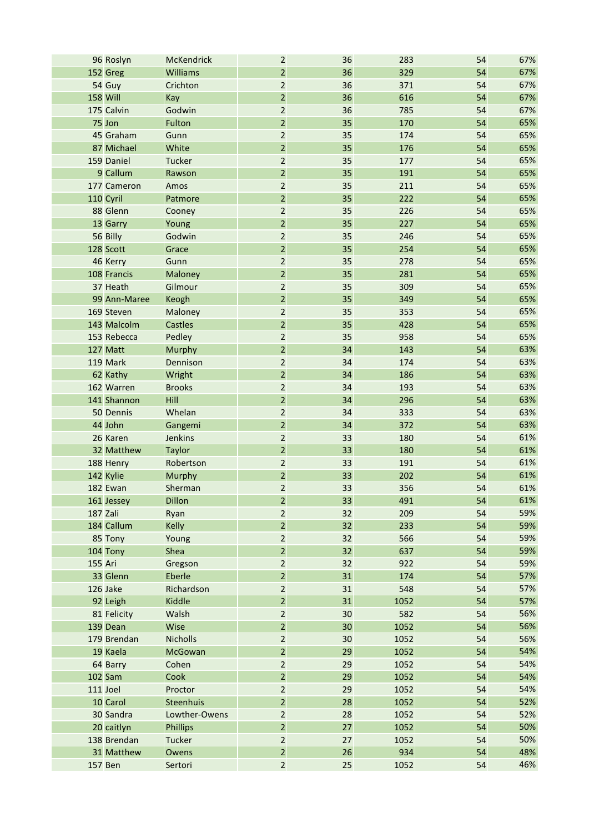|                 | 96 Roslyn    | <b>McKendrick</b> | $\overline{2}$ | 36 | 283  | 54 | 67% |
|-----------------|--------------|-------------------|----------------|----|------|----|-----|
|                 | 152 Greg     | Williams          | $\overline{2}$ | 36 | 329  | 54 | 67% |
|                 | 54 Guy       | Crichton          | $\mathbf 2$    | 36 | 371  | 54 | 67% |
| <b>158 Will</b> |              | Kay               | $\overline{2}$ | 36 | 616  | 54 | 67% |
|                 | 175 Calvin   | Godwin            | $\overline{2}$ | 36 | 785  | 54 | 67% |
|                 | 75 Jon       | Fulton            | $\overline{a}$ | 35 | 170  | 54 | 65% |
|                 | 45 Graham    | Gunn              | $\mathbf 2$    | 35 | 174  | 54 | 65% |
|                 | 87 Michael   | White             | $\overline{2}$ | 35 | 176  | 54 | 65% |
|                 | 159 Daniel   | <b>Tucker</b>     | $\overline{2}$ | 35 | 177  | 54 | 65% |
|                 | 9 Callum     | Rawson            | $\overline{c}$ | 35 | 191  | 54 | 65% |
|                 | 177 Cameron  | Amos              | $\mathbf 2$    | 35 | 211  | 54 | 65% |
|                 | 110 Cyril    | Patmore           | $\overline{2}$ | 35 | 222  | 54 | 65% |
|                 | 88 Glenn     | Cooney            | $\overline{a}$ | 35 | 226  | 54 | 65% |
|                 | 13 Garry     | Young             | $\overline{2}$ | 35 | 227  | 54 | 65% |
|                 | 56 Billy     | Godwin            | $\mathbf 2$    | 35 | 246  | 54 | 65% |
|                 | 128 Scott    | Grace             | $\overline{2}$ | 35 | 254  | 54 | 65% |
|                 | 46 Kerry     | Gunn              | $\overline{2}$ | 35 | 278  | 54 | 65% |
|                 | 108 Francis  | Maloney           | $\overline{2}$ | 35 | 281  | 54 | 65% |
|                 | 37 Heath     | Gilmour           | $\overline{a}$ | 35 | 309  | 54 | 65% |
|                 | 99 Ann-Maree | Keogh             | $\overline{2}$ | 35 | 349  | 54 | 65% |
|                 | 169 Steven   | <b>Maloney</b>    | $\overline{2}$ | 35 | 353  | 54 | 65% |
|                 | 143 Malcolm  | <b>Castles</b>    | $\overline{2}$ | 35 | 428  | 54 | 65% |
|                 | 153 Rebecca  | Pedley            | $\mathbf 2$    | 35 | 958  | 54 | 65% |
|                 | 127 Matt     | <b>Murphy</b>     | $\overline{c}$ | 34 | 143  | 54 | 63% |
|                 | 119 Mark     | Dennison          | $\overline{2}$ | 34 | 174  | 54 | 63% |
|                 | 62 Kathy     | Wright            | $\overline{2}$ | 34 | 186  | 54 | 63% |
|                 | 162 Warren   | <b>Brooks</b>     | $\mathbf 2$    | 34 | 193  | 54 | 63% |
|                 | 141 Shannon  | Hill              | $\mathbf 2$    | 34 | 296  | 54 | 63% |
|                 | 50 Dennis    | Whelan            | $\overline{2}$ | 34 | 333  | 54 | 63% |
|                 | 44 John      | Gangemi           | $\overline{2}$ | 34 | 372  | 54 | 63% |
|                 | 26 Karen     | Jenkins           | $\overline{2}$ | 33 | 180  | 54 | 61% |
|                 | 32 Matthew   | <b>Taylor</b>     | $\mathbf 2$    | 33 | 180  | 54 | 61% |
|                 | 188 Henry    | Robertson         | $\overline{c}$ | 33 | 191  | 54 | 61% |
|                 | 142 Kylie    | <b>Murphy</b>     | $\overline{2}$ | 33 | 202  | 54 | 61% |
|                 | 182 Ewan     | Sherman           | $\overline{c}$ | 33 | 356  | 54 | 61% |
|                 | 161 Jessey   | Dillon            | 2              | 33 | 491  | 54 | 61% |
| 187 Zali        |              | Ryan              | $\overline{2}$ | 32 | 209  | 54 | 59% |
|                 | 184 Callum   | <b>Kelly</b>      | $\overline{2}$ | 32 | 233  | 54 | 59% |
|                 | 85 Tony      | Young             | $\overline{2}$ | 32 | 566  | 54 | 59% |
|                 | 104 Tony     | Shea              | $\overline{2}$ | 32 | 637  | 54 | 59% |
| 155 Ari         |              | Gregson           | $\overline{2}$ | 32 | 922  | 54 | 59% |
|                 | 33 Glenn     | Eberle            | $\overline{2}$ | 31 | 174  | 54 | 57% |
|                 | 126 Jake     | Richardson        | $\overline{2}$ | 31 | 548  | 54 | 57% |
|                 | 92 Leigh     | Kiddle            | $\overline{2}$ | 31 | 1052 | 54 | 57% |
|                 | 81 Felicity  | Walsh             | $\overline{2}$ | 30 | 582  | 54 | 56% |
|                 | 139 Dean     | Wise              | $\overline{2}$ | 30 | 1052 | 54 | 56% |
|                 | 179 Brendan  | <b>Nicholls</b>   | $\overline{2}$ | 30 | 1052 | 54 | 56% |
|                 | 19 Kaela     | McGowan           | $\overline{2}$ | 29 | 1052 | 54 | 54% |
|                 | 64 Barry     | Cohen             | $\overline{2}$ | 29 | 1052 | 54 | 54% |
|                 | 102 Sam      | Cook              | $\overline{2}$ | 29 | 1052 | 54 | 54% |
|                 | 111 Joel     | Proctor           | $\overline{2}$ | 29 | 1052 | 54 | 54% |
|                 | 10 Carol     | Steenhuis         | $\overline{2}$ | 28 | 1052 | 54 | 52% |
|                 | 30 Sandra    | Lowther-Owens     | $\mathbf 2$    | 28 | 1052 | 54 | 52% |
|                 | 20 caitlyn   | <b>Phillips</b>   | $\overline{2}$ | 27 | 1052 | 54 | 50% |
|                 | 138 Brendan  | Tucker            | $\overline{2}$ | 27 | 1052 | 54 | 50% |
|                 | 31 Matthew   | Owens             | $\overline{2}$ | 26 | 934  | 54 | 48% |
| <b>157 Ben</b>  |              | Sertori           | $\overline{2}$ | 25 | 1052 | 54 | 46% |